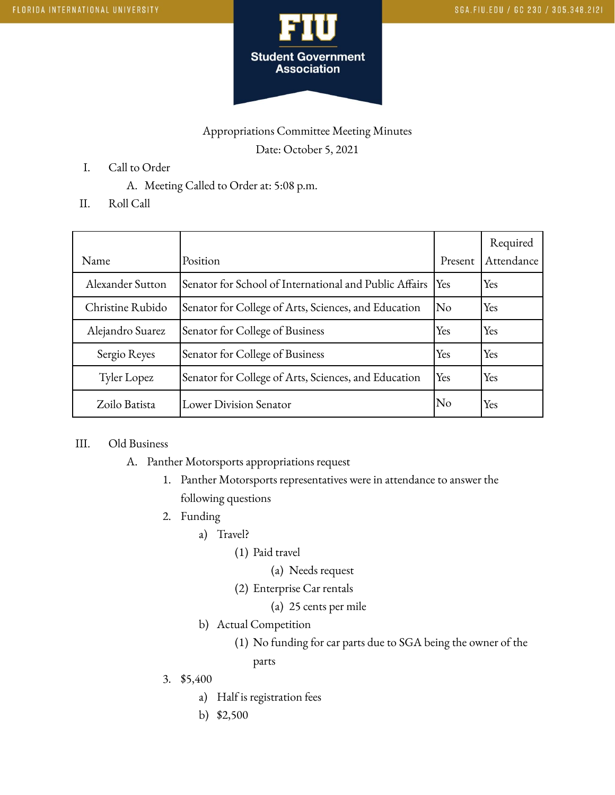

## Appropriations Committee Meeting Minutes Date: October 5, 2021

- I. Call to Order
	- A. Meeting Called to Order at: 5:08 p.m.
- II. Roll Call

| Name             | Position                                               | Present             | Required<br>Attendance |
|------------------|--------------------------------------------------------|---------------------|------------------------|
| Alexander Sutton | Senator for School of International and Public Affairs | $Y_{\rm es}$        | Yes                    |
| Christine Rubido | Senator for College of Arts, Sciences, and Education   | $\overline{\rm No}$ | Yes                    |
| Alejandro Suarez | Senator for College of Business                        | Yes                 | Yes                    |
| Sergio Reyes     | Senator for College of Business                        | Yes                 | Yes                    |
| Tyler Lopez      | Senator for College of Arts, Sciences, and Education   | Yes                 | Yes                    |
| Zoilo Batista    | Lower Division Senator                                 | <b>No</b>           | Yes                    |

## III. Old Business

- A. Panther Motorsports appropriations request
	- 1. Panther Motorsports representatives were in attendance to answer the following questions
	- 2. Funding
		- a) Travel?
			- (1) Paid travel
				- (a) Needs request
			- (2) Enterprise Car rentals
				- (a) 25 cents per mile
		- b) Actual Competition
			- (1) No funding for car parts due to SGA being the owner of the

parts

- 3. \$5,400
	- a) Half is registration fees
	- b) \$2,500